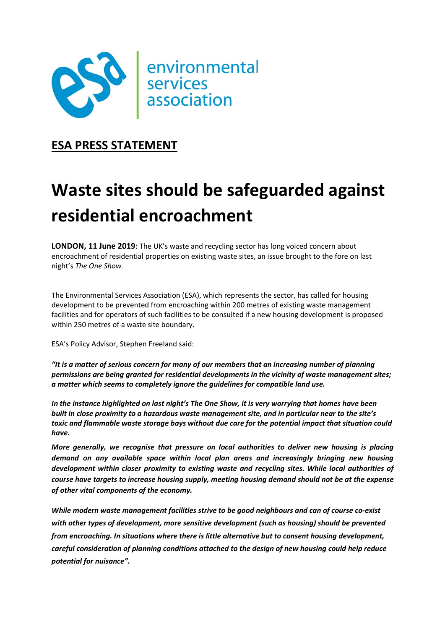

## ESA PRESS STATEMENT

# Waste sites should be safeguarded against residential encroachment

**LONDON, 11 June 2019:** The UK's waste and recycling sector has long voiced concern about encroachment of residential properties on existing waste sites, an issue brought to the fore on last night's The One Show.

The Environmental Services Association (ESA), which represents the sector, has called for housing development to be prevented from encroaching within 200 metres of existing waste management facilities and for operators of such facilities to be consulted if a new housing development is proposed within 250 metres of a waste site boundary.

ESA's Policy Advisor, Stephen Freeland said:

"It is a matter of serious concern for many of our members that an increasing number of planning permissions are being granted for residential developments in the vicinity of waste management sites; a matter which seems to completely ignore the guidelines for compatible land use.

In the instance highlighted on last night's The One Show, it is very worrying that homes have been built in close proximity to a hazardous waste management site, and in particular near to the site's toxic and flammable waste storage bays without due care for the potential impact that situation could have.

More generally, we recognise that pressure on local authorities to deliver new housing is placing demand on any available space within local plan areas and increasingly bringing new housing development within closer proximity to existing waste and recycling sites. While local authorities of course have targets to increase housing supply, meeting housing demand should not be at the expense of other vital components of the economy.

While modern waste management facilities strive to be good neighbours and can of course co-exist with other types of development, more sensitive development (such as housing) should be prevented from encroaching. In situations where there is little alternative but to consent housing development, careful consideration of planning conditions attached to the design of new housing could help reduce potential for nuisance".